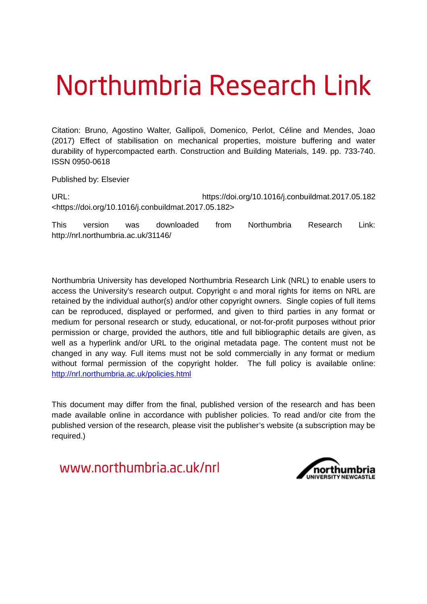# Northumbria Research Link

Citation: Bruno, Agostino Walter, Gallipoli, Domenico, Perlot, Céline and Mendes, Joao (2017) Effect of stabilisation on mechanical properties, moisture buffering and water durability of hypercompacted earth. Construction and Building Materials, 149. pp. 733-740. ISSN 0950-0618

Published by: Elsevier

URL: https://doi.org/10.1016/j.conbuildmat.2017.05.182 <https://doi.org/10.1016/j.conbuildmat.2017.05.182>

This version was downloaded from Northumbria Research Link: http://nrl.northumbria.ac.uk/31146/

Northumbria University has developed Northumbria Research Link (NRL) to enable users to access the University's research output. Copyright  $\circ$  and moral rights for items on NRL are retained by the individual author(s) and/or other copyright owners. Single copies of full items can be reproduced, displayed or performed, and given to third parties in any format or medium for personal research or study, educational, or not-for-profit purposes without prior permission or charge, provided the authors, title and full bibliographic details are given, as well as a hyperlink and/or URL to the original metadata page. The content must not be changed in any way. Full items must not be sold commercially in any format or medium without formal permission of the copyright holder. The full policy is available online: <http://nrl.northumbria.ac.uk/policies.html>

This document may differ from the final, published version of the research and has been made available online in accordance with publisher policies. To read and/or cite from the published version of the research, please visit the publisher's website (a subscription may be required.)

www.northumbria.ac.uk/nrl

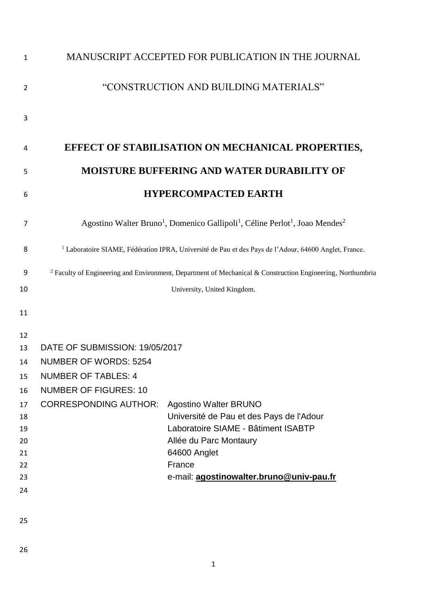| $\mathbf{1}$   |                                                                                                                              | MANUSCRIPT ACCEPTED FOR PUBLICATION IN THE JOURNAL |  |
|----------------|------------------------------------------------------------------------------------------------------------------------------|----------------------------------------------------|--|
| $\overline{2}$ | "CONSTRUCTION AND BUILDING MATERIALS"                                                                                        |                                                    |  |
| 3              |                                                                                                                              |                                                    |  |
|                |                                                                                                                              |                                                    |  |
| 4              |                                                                                                                              | EFFECT OF STABILISATION ON MECHANICAL PROPERTIES,  |  |
| 5              | <b>MOISTURE BUFFERING AND WATER DURABILITY OF</b>                                                                            |                                                    |  |
| 6              | <b>HYPERCOMPACTED EARTH</b>                                                                                                  |                                                    |  |
| 7              | Agostino Walter Bruno <sup>1</sup> , Domenico Gallipoli <sup>1</sup> , Céline Perlot <sup>1</sup> , Joao Mendes <sup>2</sup> |                                                    |  |
| 8              | <sup>1</sup> Laboratoire SIAME, Fédération IPRA, Université de Pau et des Pays de l'Adour, 64600 Anglet, France.             |                                                    |  |
| 9              | <sup>2</sup> Faculty of Engineering and Environment, Department of Mechanical & Construction Engineering, Northumbria        |                                                    |  |
| 10             |                                                                                                                              | University, United Kingdom.                        |  |
| 11             |                                                                                                                              |                                                    |  |
| 12             |                                                                                                                              |                                                    |  |
| 13             | DATE OF SUBMISSION: 19/05/2017                                                                                               |                                                    |  |
| 14             | <b>NUMBER OF WORDS: 5254</b>                                                                                                 |                                                    |  |
| 15             | <b>NUMBER OF TABLES: 4</b>                                                                                                   |                                                    |  |
| 16             | <b>NUMBER OF FIGURES: 10</b>                                                                                                 |                                                    |  |
| 17             | <b>CORRESPONDING AUTHOR:</b>                                                                                                 | <b>Agostino Walter BRUNO</b>                       |  |
| 18             |                                                                                                                              | Université de Pau et des Pays de l'Adour           |  |
| 19             |                                                                                                                              | Laboratoire SIAME - Bâtiment ISABTP                |  |
| 20             |                                                                                                                              | Allée du Parc Montaury                             |  |
| 21             |                                                                                                                              | 64600 Anglet                                       |  |
| 22             |                                                                                                                              | France                                             |  |
| 23             |                                                                                                                              | e-mail: agostinowalter.bruno@univ-pau.fr           |  |
| 24             |                                                                                                                              |                                                    |  |
| 25             |                                                                                                                              |                                                    |  |
|                |                                                                                                                              |                                                    |  |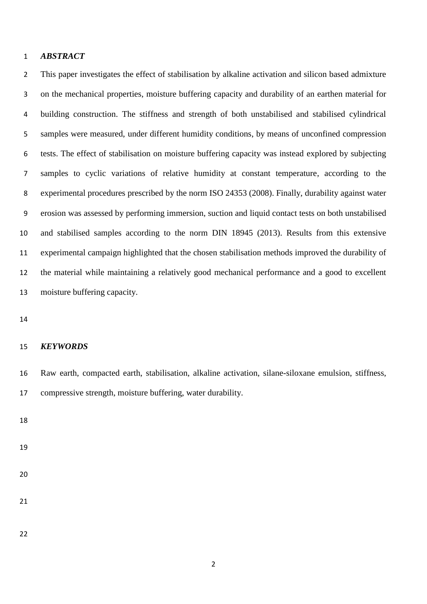#### *ABSTRACT*

 This paper investigates the effect of stabilisation by alkaline activation and silicon based admixture on the mechanical properties, moisture buffering capacity and durability of an earthen material for building construction. The stiffness and strength of both unstabilised and stabilised cylindrical samples were measured, under different humidity conditions, by means of unconfined compression tests. The effect of stabilisation on moisture buffering capacity was instead explored by subjecting samples to cyclic variations of relative humidity at constant temperature, according to the experimental procedures prescribed by the norm ISO 24353 (2008). Finally, durability against water erosion was assessed by performing immersion, suction and liquid contact tests on both unstabilised and stabilised samples according to the norm DIN 18945 (2013). Results from this extensive experimental campaign highlighted that the chosen stabilisation methods improved the durability of the material while maintaining a relatively good mechanical performance and a good to excellent moisture buffering capacity.

#### *KEYWORDS*

 Raw earth, compacted earth, stabilisation, alkaline activation, silane-siloxane emulsion, stiffness, compressive strength, moisture buffering, water durability.

- 
-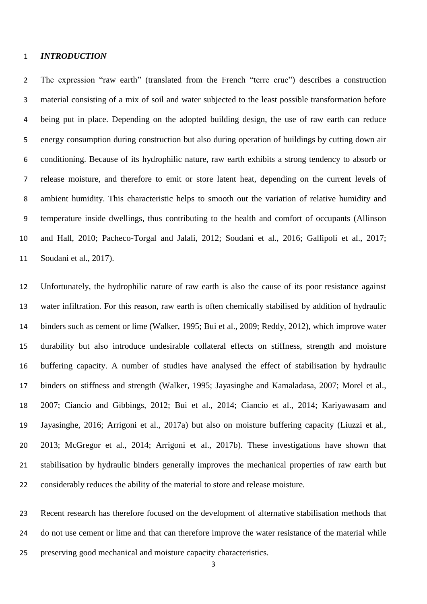#### *INTRODUCTION*

 The expression "raw earth" (translated from the French "terre crue") describes a construction material consisting of a mix of soil and water subjected to the least possible transformation before being put in place. Depending on the adopted building design, the use of raw earth can reduce energy consumption during construction but also during operation of buildings by cutting down air conditioning. Because of its hydrophilic nature, raw earth exhibits a strong tendency to absorb or release moisture, and therefore to emit or store latent heat, depending on the current levels of ambient humidity. This characteristic helps to smooth out the variation of relative humidity and temperature inside dwellings, thus contributing to the health and comfort of occupants (Allinson and Hall, 2010; Pacheco-Torgal and Jalali, 2012; Soudani et al., 2016; Gallipoli et al., 2017; Soudani et al., 2017).

 Unfortunately, the hydrophilic nature of raw earth is also the cause of its poor resistance against water infiltration. For this reason, raw earth is often chemically stabilised by addition of hydraulic binders such as cement or lime (Walker, 1995; Bui et al., 2009; Reddy, 2012), which improve water durability but also introduce undesirable collateral effects on stiffness, strength and moisture buffering capacity. A number of studies have analysed the effect of stabilisation by hydraulic binders on stiffness and strength (Walker, 1995; Jayasinghe and Kamaladasa, 2007; Morel et al., 2007; Ciancio and Gibbings, 2012; Bui et al., 2014; Ciancio et al., 2014; Kariyawasam and Jayasinghe, 2016; Arrigoni et al., 2017a) but also on moisture buffering capacity (Liuzzi et al., 2013; McGregor et al., 2014; Arrigoni et al., 2017b). These investigations have shown that stabilisation by hydraulic binders generally improves the mechanical properties of raw earth but considerably reduces the ability of the material to store and release moisture.

 Recent research has therefore focused on the development of alternative stabilisation methods that do not use cement or lime and that can therefore improve the water resistance of the material while preserving good mechanical and moisture capacity characteristics.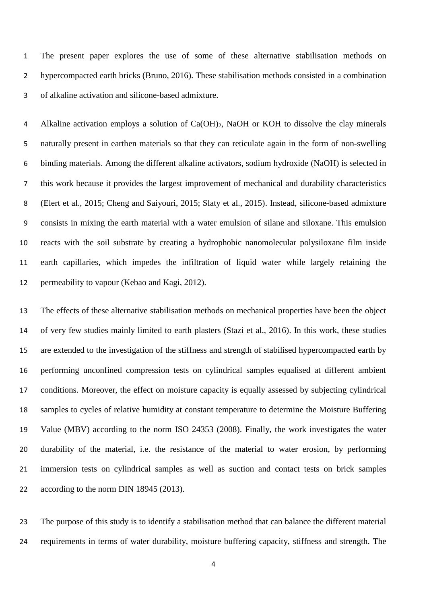The present paper explores the use of some of these alternative stabilisation methods on hypercompacted earth bricks (Bruno, 2016). These stabilisation methods consisted in a combination of alkaline activation and silicone-based admixture.

 Alkaline activation employs a solution of Ca(OH)2, NaOH or KOH to dissolve the clay minerals naturally present in earthen materials so that they can reticulate again in the form of non-swelling binding materials. Among the different alkaline activators, sodium hydroxide (NaOH) is selected in this work because it provides the largest improvement of mechanical and durability characteristics (Elert et al., 2015; Cheng and Saiyouri, 2015; Slaty et al., 2015). Instead, silicone-based admixture consists in mixing the earth material with a water emulsion of silane and siloxane. This emulsion reacts with the soil substrate by creating a hydrophobic nanomolecular polysiloxane film inside earth capillaries, which impedes the infiltration of liquid water while largely retaining the permeability to vapour (Kebao and Kagi, 2012).

 The effects of these alternative stabilisation methods on mechanical properties have been the object of very few studies mainly limited to earth plasters (Stazi et al., 2016). In this work, these studies are extended to the investigation of the stiffness and strength of stabilised hypercompacted earth by performing unconfined compression tests on cylindrical samples equalised at different ambient conditions. Moreover, the effect on moisture capacity is equally assessed by subjecting cylindrical samples to cycles of relative humidity at constant temperature to determine the Moisture Buffering Value (MBV) according to the norm ISO 24353 (2008). Finally, the work investigates the water durability of the material, i.e. the resistance of the material to water erosion, by performing immersion tests on cylindrical samples as well as suction and contact tests on brick samples 22 according to the norm DIN 18945 (2013).

 The purpose of this study is to identify a stabilisation method that can balance the different material requirements in terms of water durability, moisture buffering capacity, stiffness and strength. The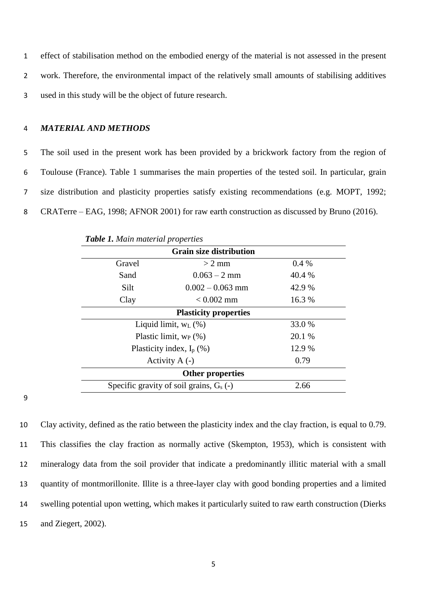1 effect of stabilisation method on the embodied energy of the material is not assessed in the present 2 work. Therefore, the environmental impact of the relatively small amounts of stabilising additives 3 used in this study will be the object of future research.

#### 4 *MATERIAL AND METHODS*

 The soil used in the present work has been provided by a brickwork factory from the region of Toulouse (France). Table 1 summarises the main properties of the tested soil. In particular, grain size distribution and plasticity properties satisfy existing recommendations (e.g. MOPT, 1992; CRATerre – EAG, 1998; AFNOR 2001) for raw earth construction as discussed by Bruno (2016).

| <b>Grain size distribution</b>                     |                          |        |  |  |
|----------------------------------------------------|--------------------------|--------|--|--|
| Gravel                                             | $> 2$ mm                 | 0.4%   |  |  |
| Sand                                               | $0.063 - 2 \text{ mm}$   | 40.4 % |  |  |
| Silt                                               | $0.002 - 0.063$ mm       | 42.9 % |  |  |
| Clay                                               | $< 0.002$ mm             | 16.3 % |  |  |
| <b>Plasticity properties</b>                       |                          |        |  |  |
|                                                    | Liquid limit, $W_L$ (%)  |        |  |  |
|                                                    | Plastic limit, $w_P$ (%) |        |  |  |
| Plasticity index, $I_p$ (%)                        |                          | 12.9 % |  |  |
| Activity $A(-)$                                    |                          | 0.79   |  |  |
| <b>Other properties</b>                            |                          |        |  |  |
| Specific gravity of soil grains, $G_s$ (-)<br>2.66 |                          |        |  |  |

*Table 1. Main material properties* 

9

 Clay activity, defined as the ratio between the plasticity index and the clay fraction, is equal to 0.79. This classifies the clay fraction as normally active (Skempton, 1953), which is consistent with mineralogy data from the soil provider that indicate a predominantly illitic material with a small quantity of montmorillonite. Illite is a three-layer clay with good bonding properties and a limited swelling potential upon wetting, which makes it particularly suited to raw earth construction (Dierks and Ziegert, 2002).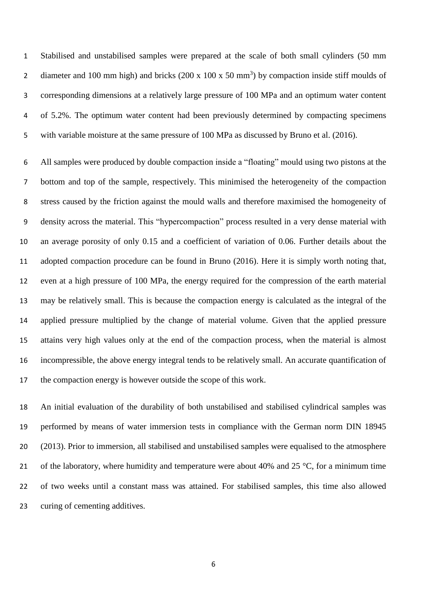Stabilised and unstabilised samples were prepared at the scale of both small cylinders (50 mm 2 diameter and 100 mm high) and bricks  $(200 \times 100 \times 50 \text{ mm}^3)$  by compaction inside stiff moulds of corresponding dimensions at a relatively large pressure of 100 MPa and an optimum water content of 5.2%. The optimum water content had been previously determined by compacting specimens with variable moisture at the same pressure of 100 MPa as discussed by Bruno et al. (2016).

 All samples were produced by double compaction inside a "floating" mould using two pistons at the bottom and top of the sample, respectively. This minimised the heterogeneity of the compaction stress caused by the friction against the mould walls and therefore maximised the homogeneity of density across the material. This "hypercompaction" process resulted in a very dense material with an average porosity of only 0.15 and a coefficient of variation of 0.06. Further details about the adopted compaction procedure can be found in Bruno (2016). Here it is simply worth noting that, even at a high pressure of 100 MPa, the energy required for the compression of the earth material may be relatively small. This is because the compaction energy is calculated as the integral of the applied pressure multiplied by the change of material volume. Given that the applied pressure attains very high values only at the end of the compaction process, when the material is almost incompressible, the above energy integral tends to be relatively small. An accurate quantification of the compaction energy is however outside the scope of this work.

 An initial evaluation of the durability of both unstabilised and stabilised cylindrical samples was performed by means of water immersion tests in compliance with the German norm DIN 18945 (2013). Prior to immersion, all stabilised and unstabilised samples were equalised to the atmosphere 21 of the laboratory, where humidity and temperature were about 40% and 25  $\degree$ C, for a minimum time of two weeks until a constant mass was attained. For stabilised samples, this time also allowed curing of cementing additives.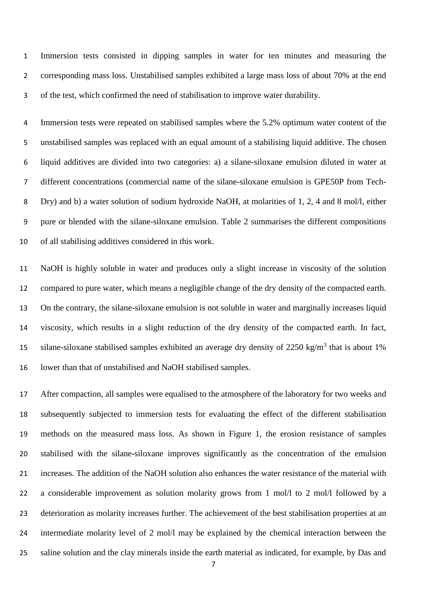Immersion tests consisted in dipping samples in water for ten minutes and measuring the corresponding mass loss. Unstabilised samples exhibited a large mass loss of about 70% at the end of the test, which confirmed the need of stabilisation to improve water durability.

 Immersion tests were repeated on stabilised samples where the 5.2% optimum water content of the unstabilised samples was replaced with an equal amount of a stabilising liquid additive. The chosen liquid additives are divided into two categories: a) a silane-siloxane emulsion diluted in water at different concentrations (commercial name of the silane-siloxane emulsion is GPE50P from Tech- Dry) and b) a water solution of sodium hydroxide NaOH, at molarities of 1, 2, 4 and 8 mol/l, either pure or blended with the silane-siloxane emulsion. Table 2 summarises the different compositions of all stabilising additives considered in this work.

 NaOH is highly soluble in water and produces only a slight increase in viscosity of the solution compared to pure water, which means a negligible change of the dry density of the compacted earth. On the contrary, the silane-siloxane emulsion is not soluble in water and marginally increases liquid viscosity, which results in a slight reduction of the dry density of the compacted earth. In fact, 15 silane-siloxane stabilised samples exhibited an average dry density of  $2250 \text{ kg/m}^3$  that is about 1% lower than that of unstabilised and NaOH stabilised samples.

 After compaction, all samples were equalised to the atmosphere of the laboratory for two weeks and subsequently subjected to immersion tests for evaluating the effect of the different stabilisation methods on the measured mass loss. As shown in Figure 1, the erosion resistance of samples stabilised with the silane-siloxane improves significantly as the concentration of the emulsion increases. The addition of the NaOH solution also enhances the water resistance of the material with a considerable improvement as solution molarity grows from 1 mol/l to 2 mol/l followed by a deterioration as molarity increases further. The achievement of the best stabilisation properties at an intermediate molarity level of 2 mol/l may be explained by the chemical interaction between the saline solution and the clay minerals inside the earth material as indicated, for example, by Das and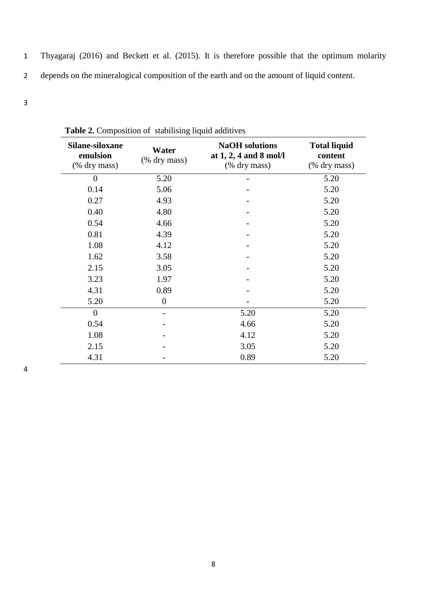- 1 Thyagaraj (2016) and Beckett et al. (2015). It is therefore possible that the optimum molarity 2 depends on the mineralogical composition of the earth and on the amount of liquid content.
- 3

| Silane-siloxane<br>emulsion<br>(% dry mass) | Water<br>(% dry mass) | <b>NaOH</b> solutions<br>at $1, 2, 4$ and $8$ mol/l<br>(% dry mass) | <b>Total liquid</b><br>content<br>(% dry mass) |
|---------------------------------------------|-----------------------|---------------------------------------------------------------------|------------------------------------------------|
| $\theta$                                    | 5.20                  |                                                                     | 5.20                                           |
| 0.14                                        | 5.06                  |                                                                     | 5.20                                           |
| 0.27                                        | 4.93                  |                                                                     | 5.20                                           |
| 0.40                                        | 4.80                  |                                                                     | 5.20                                           |
| 0.54                                        | 4.66                  |                                                                     | 5.20                                           |
| 0.81                                        | 4.39                  |                                                                     | 5.20                                           |
| 1.08                                        | 4.12                  |                                                                     | 5.20                                           |
| 1.62                                        | 3.58                  |                                                                     | 5.20                                           |
| 2.15                                        | 3.05                  |                                                                     | 5.20                                           |
| 3.23                                        | 1.97                  |                                                                     | 5.20                                           |
| 4.31                                        | 0.89                  |                                                                     | 5.20                                           |
| 5.20                                        | $\overline{0}$        |                                                                     | 5.20                                           |
| $\theta$                                    |                       | 5.20                                                                | 5.20                                           |
| 0.54                                        |                       | 4.66                                                                | 5.20                                           |
| 1.08                                        |                       | 4.12                                                                | 5.20                                           |
| 2.15                                        |                       | 3.05                                                                | 5.20                                           |
| 4.31                                        |                       | 0.89                                                                | 5.20                                           |

**Table 2.** Composition of stabilising liquid additives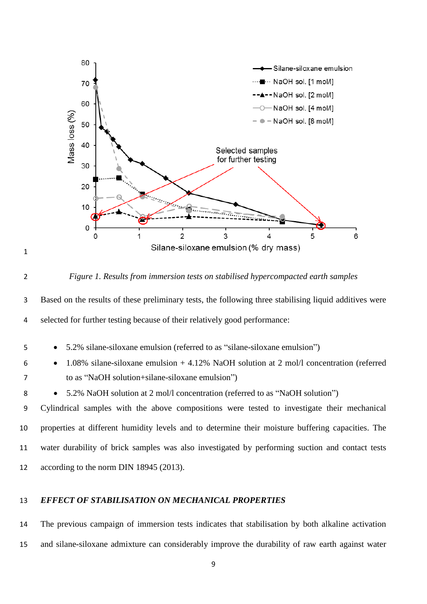



#### *Figure 1. Results from immersion tests on stabilised hypercompacted earth samples*

 Based on the results of these preliminary tests, the following three stabilising liquid additives were selected for further testing because of their relatively good performance:

- 5.2% silane-siloxane emulsion (referred to as "silane-siloxane emulsion")
- 1.08% silane-siloxane emulsion + 4.12% NaOH solution at 2 mol/l concentration (referred to as "NaOH solution+silane-siloxane emulsion")
- 8 5.2% NaOH solution at 2 mol/l concentration (referred to as "NaOH solution")

 Cylindrical samples with the above compositions were tested to investigate their mechanical properties at different humidity levels and to determine their moisture buffering capacities. The water durability of brick samples was also investigated by performing suction and contact tests 12 according to the norm DIN 18945 (2013).

# *EFFECT OF STABILISATION ON MECHANICAL PROPERTIES*

 The previous campaign of immersion tests indicates that stabilisation by both alkaline activation and silane-siloxane admixture can considerably improve the durability of raw earth against water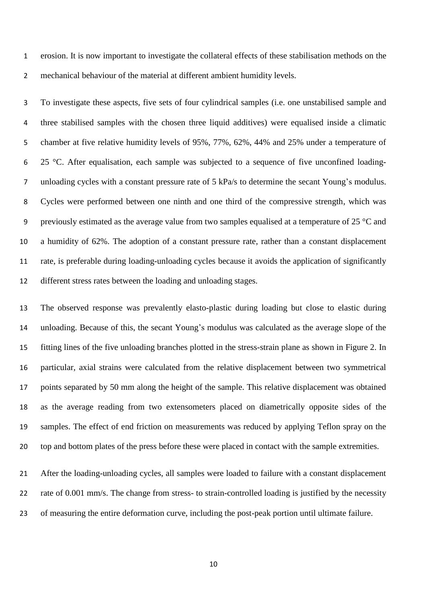erosion. It is now important to investigate the collateral effects of these stabilisation methods on the mechanical behaviour of the material at different ambient humidity levels.

 To investigate these aspects, five sets of four cylindrical samples (i.e. one unstabilised sample and three stabilised samples with the chosen three liquid additives) were equalised inside a climatic chamber at five relative humidity levels of 95%, 77%, 62%, 44% and 25% under a temperature of 6 25 °C. After equalisation, each sample was subjected to a sequence of five unconfined loading- unloading cycles with a constant pressure rate of 5 kPa/s to determine the secant Young's modulus. Cycles were performed between one ninth and one third of the compressive strength, which was previously estimated as the average value from two samples equalised at a temperature of 25 °C and a humidity of 62%. The adoption of a constant pressure rate, rather than a constant displacement rate, is preferable during loading-unloading cycles because it avoids the application of significantly different stress rates between the loading and unloading stages.

 The observed response was prevalently elasto-plastic during loading but close to elastic during unloading. Because of this, the secant Young's modulus was calculated as the average slope of the fitting lines of the five unloading branches plotted in the stress-strain plane as shown in Figure 2. In particular, axial strains were calculated from the relative displacement between two symmetrical points separated by 50 mm along the height of the sample. This relative displacement was obtained as the average reading from two extensometers placed on diametrically opposite sides of the samples. The effect of end friction on measurements was reduced by applying Teflon spray on the top and bottom plates of the press before these were placed in contact with the sample extremities.

 After the loading-unloading cycles, all samples were loaded to failure with a constant displacement 22 rate of 0.001 mm/s. The change from stress- to strain-controlled loading is justified by the necessity of measuring the entire deformation curve, including the post-peak portion until ultimate failure.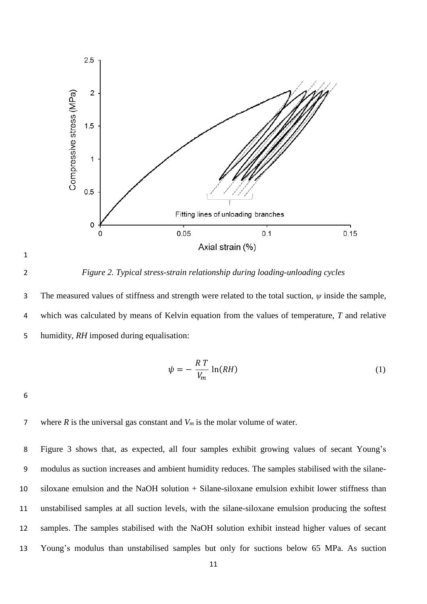

*Figure 2. Typical stress-strain relationship during loading-unloading cycles*

 The measured values of stiffness and strength were related to the total suction, *ψ* inside the sample, which was calculated by means of Kelvin equation from the values of temperature, *T* and relative humidity, *RH* imposed during equalisation:

$$
\psi = -\frac{RT}{V_m} \ln(RH) \tag{1}
$$

where *R* is the universal gas constant and *V<sup>m</sup>* is the molar volume of water.

 Figure 3 shows that, as expected, all four samples exhibit growing values of secant Young's modulus as suction increases and ambient humidity reduces. The samples stabilised with the silane- siloxane emulsion and the NaOH solution + Silane-siloxane emulsion exhibit lower stiffness than unstabilised samples at all suction levels, with the silane-siloxane emulsion producing the softest samples. The samples stabilised with the NaOH solution exhibit instead higher values of secant Young's modulus than unstabilised samples but only for suctions below 65 MPa. As suction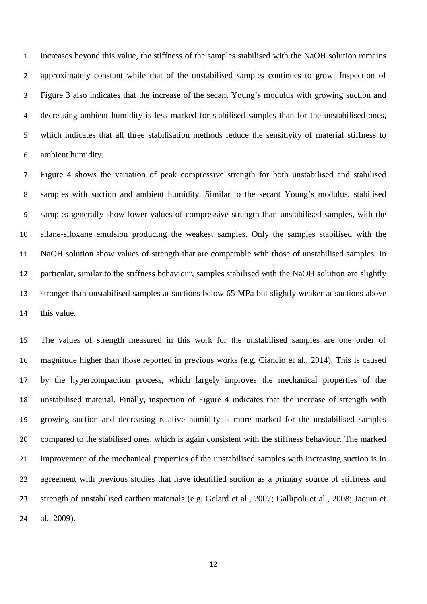increases beyond this value, the stiffness of the samples stabilised with the NaOH solution remains approximately constant while that of the unstabilised samples continues to grow. Inspection of Figure 3 also indicates that the increase of the secant Young's modulus with growing suction and decreasing ambient humidity is less marked for stabilised samples than for the unstabilised ones, which indicates that all three stabilisation methods reduce the sensitivity of material stiffness to ambient humidity.

 Figure 4 shows the variation of peak compressive strength for both unstabilised and stabilised samples with suction and ambient humidity. Similar to the secant Young's modulus, stabilised samples generally show lower values of compressive strength than unstabilised samples, with the silane-siloxane emulsion producing the weakest samples. Only the samples stabilised with the NaOH solution show values of strength that are comparable with those of unstabilised samples. In particular, similar to the stiffness behaviour, samples stabilised with the NaOH solution are slightly stronger than unstabilised samples at suctions below 65 MPa but slightly weaker at suctions above this value.

 The values of strength measured in this work for the unstabilised samples are one order of magnitude higher than those reported in previous works (e.g. Ciancio et al., 2014). This is caused by the hypercompaction process, which largely improves the mechanical properties of the unstabilised material. Finally, inspection of Figure 4 indicates that the increase of strength with growing suction and decreasing relative humidity is more marked for the unstabilised samples compared to the stabilised ones, which is again consistent with the stiffness behaviour. The marked improvement of the mechanical properties of the unstabilised samples with increasing suction is in agreement with previous studies that have identified suction as a primary source of stiffness and strength of unstabilised earthen materials (e.g. Gelard et al., 2007; Gallipoli et al., 2008; Jaquin et al., 2009).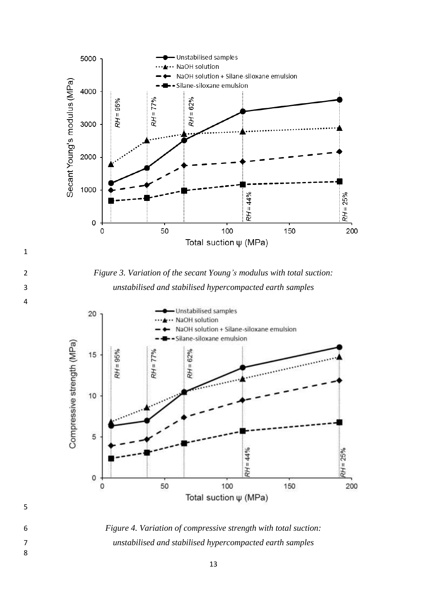

 *Figure 3. Variation of the secant Young's modulus with total suction: unstabilised and stabilised hypercompacted earth samples*



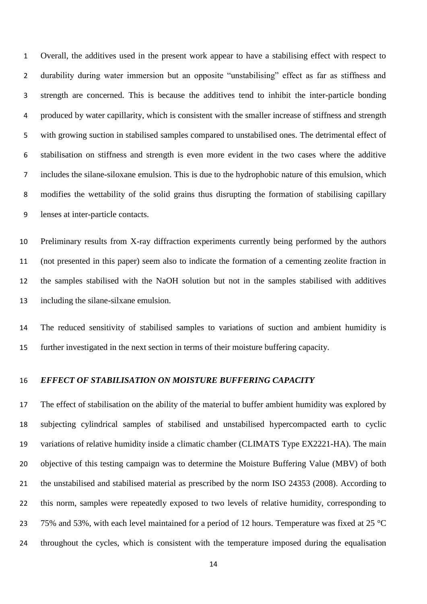Overall, the additives used in the present work appear to have a stabilising effect with respect to durability during water immersion but an opposite "unstabilising" effect as far as stiffness and strength are concerned. This is because the additives tend to inhibit the inter-particle bonding produced by water capillarity, which is consistent with the smaller increase of stiffness and strength with growing suction in stabilised samples compared to unstabilised ones. The detrimental effect of stabilisation on stiffness and strength is even more evident in the two cases where the additive includes the silane-siloxane emulsion. This is due to the hydrophobic nature of this emulsion, which modifies the wettability of the solid grains thus disrupting the formation of stabilising capillary lenses at inter-particle contacts.

 Preliminary results from X-ray diffraction experiments currently being performed by the authors (not presented in this paper) seem also to indicate the formation of a cementing zeolite fraction in the samples stabilised with the NaOH solution but not in the samples stabilised with additives including the silane-silxane emulsion.

 The reduced sensitivity of stabilised samples to variations of suction and ambient humidity is further investigated in the next section in terms of their moisture buffering capacity.

#### *EFFECT OF STABILISATION ON MOISTURE BUFFERING CAPACITY*

 The effect of stabilisation on the ability of the material to buffer ambient humidity was explored by subjecting cylindrical samples of stabilised and unstabilised hypercompacted earth to cyclic variations of relative humidity inside a climatic chamber (CLIMATS Type EX2221-HA). The main objective of this testing campaign was to determine the Moisture Buffering Value (MBV) of both the unstabilised and stabilised material as prescribed by the norm ISO 24353 (2008). According to this norm, samples were repeatedly exposed to two levels of relative humidity, corresponding to 23 75% and 53%, with each level maintained for a period of 12 hours. Temperature was fixed at 25  $^{\circ}$ C throughout the cycles, which is consistent with the temperature imposed during the equalisation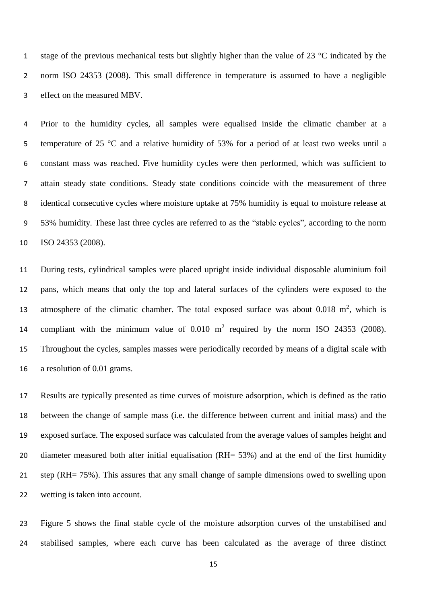1 stage of the previous mechanical tests but slightly higher than the value of 23 °C indicated by the norm ISO 24353 (2008). This small difference in temperature is assumed to have a negligible effect on the measured MBV.

 Prior to the humidity cycles, all samples were equalised inside the climatic chamber at a temperature of 25 °C and a relative humidity of 53% for a period of at least two weeks until a constant mass was reached. Five humidity cycles were then performed, which was sufficient to attain steady state conditions. Steady state conditions coincide with the measurement of three identical consecutive cycles where moisture uptake at 75% humidity is equal to moisture release at 53% humidity. These last three cycles are referred to as the "stable cycles", according to the norm ISO 24353 (2008).

 During tests, cylindrical samples were placed upright inside individual disposable aluminium foil pans, which means that only the top and lateral surfaces of the cylinders were exposed to the 13 atmosphere of the climatic chamber. The total exposed surface was about  $0.018 \text{ m}^2$ , which is 14 compliant with the minimum value of  $0.010 \text{ m}^2$  required by the norm ISO 24353 (2008). Throughout the cycles, samples masses were periodically recorded by means of a digital scale with a resolution of 0.01 grams.

 Results are typically presented as time curves of moisture adsorption, which is defined as the ratio between the change of sample mass (i.e. the difference between current and initial mass) and the exposed surface. The exposed surface was calculated from the average values of samples height and 20 diameter measured both after initial equalisation (RH= 53%) and at the end of the first humidity step (RH= 75%). This assures that any small change of sample dimensions owed to swelling upon wetting is taken into account.

 Figure 5 shows the final stable cycle of the moisture adsorption curves of the unstabilised and stabilised samples, where each curve has been calculated as the average of three distinct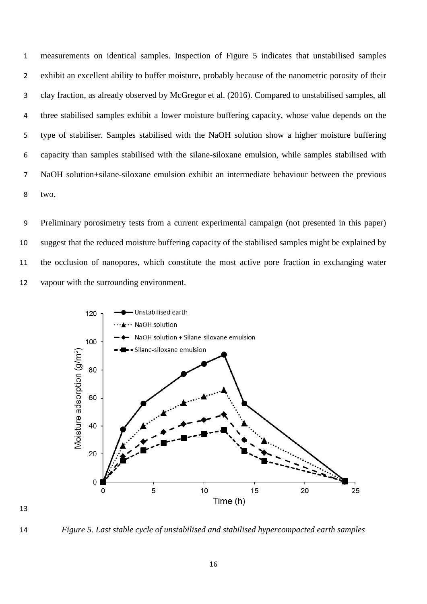measurements on identical samples. Inspection of Figure 5 indicates that unstabilised samples exhibit an excellent ability to buffer moisture, probably because of the nanometric porosity of their clay fraction, as already observed by McGregor et al. (2016). Compared to unstabilised samples, all three stabilised samples exhibit a lower moisture buffering capacity, whose value depends on the type of stabiliser. Samples stabilised with the NaOH solution show a higher moisture buffering capacity than samples stabilised with the silane-siloxane emulsion, while samples stabilised with NaOH solution+silane-siloxane emulsion exhibit an intermediate behaviour between the previous two.

 Preliminary porosimetry tests from a current experimental campaign (not presented in this paper) suggest that the reduced moisture buffering capacity of the stabilised samples might be explained by the occlusion of nanopores, which constitute the most active pore fraction in exchanging water vapour with the surrounding environment.



*Figure 5. Last stable cycle of unstabilised and stabilised hypercompacted earth samples*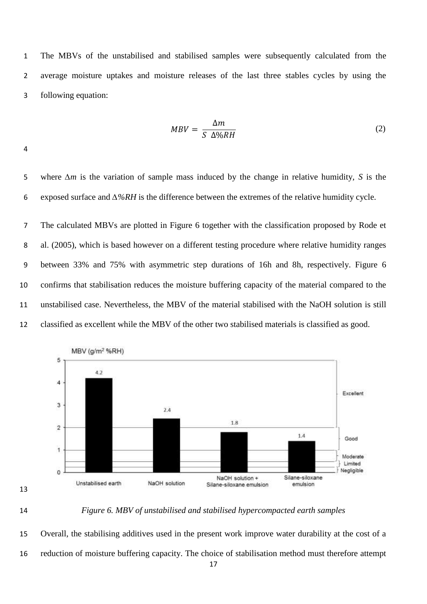The MBVs of the unstabilised and stabilised samples were subsequently calculated from the average moisture uptakes and moisture releases of the last three stables cycles by using the following equation:

$$
MBV = \frac{\Delta m}{S \ \Delta\%RH} \tag{2}
$$

 where *∆m* is the variation of sample mass induced by the change in relative humidity, *S* is the exposed surface and *∆%RH* is the difference between the extremes of the relative humidity cycle.

 The calculated MBVs are plotted in Figure 6 together with the classification proposed by Rode et al. (2005), which is based however on a different testing procedure where relative humidity ranges between 33% and 75% with asymmetric step durations of 16h and 8h, respectively. Figure 6 confirms that stabilisation reduces the moisture buffering capacity of the material compared to the unstabilised case. Nevertheless, the MBV of the material stabilised with the NaOH solution is still classified as excellent while the MBV of the other two stabilised materials is classified as good.





*Figure 6. MBV of unstabilised and stabilised hypercompacted earth samples*

 Overall, the stabilising additives used in the present work improve water durability at the cost of a reduction of moisture buffering capacity. The choice of stabilisation method must therefore attempt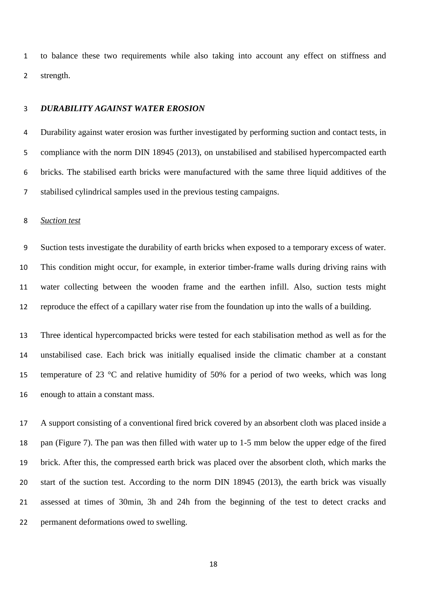to balance these two requirements while also taking into account any effect on stiffness and strength.

# *DURABILITY AGAINST WATER EROSION*

 Durability against water erosion was further investigated by performing suction and contact tests, in compliance with the norm DIN 18945 (2013), on unstabilised and stabilised hypercompacted earth bricks. The stabilised earth bricks were manufactured with the same three liquid additives of the stabilised cylindrical samples used in the previous testing campaigns.

## *Suction test*

 Suction tests investigate the durability of earth bricks when exposed to a temporary excess of water. This condition might occur, for example, in exterior timber-frame walls during driving rains with water collecting between the wooden frame and the earthen infill. Also, suction tests might reproduce the effect of a capillary water rise from the foundation up into the walls of a building.

 Three identical hypercompacted bricks were tested for each stabilisation method as well as for the unstabilised case. Each brick was initially equalised inside the climatic chamber at a constant 15 temperature of 23  $\degree$ C and relative humidity of 50% for a period of two weeks, which was long enough to attain a constant mass.

 A support consisting of a conventional fired brick covered by an absorbent cloth was placed inside a pan (Figure 7). The pan was then filled with water up to 1-5 mm below the upper edge of the fired brick. After this, the compressed earth brick was placed over the absorbent cloth, which marks the start of the suction test. According to the norm DIN 18945 (2013), the earth brick was visually assessed at times of 30min, 3h and 24h from the beginning of the test to detect cracks and permanent deformations owed to swelling.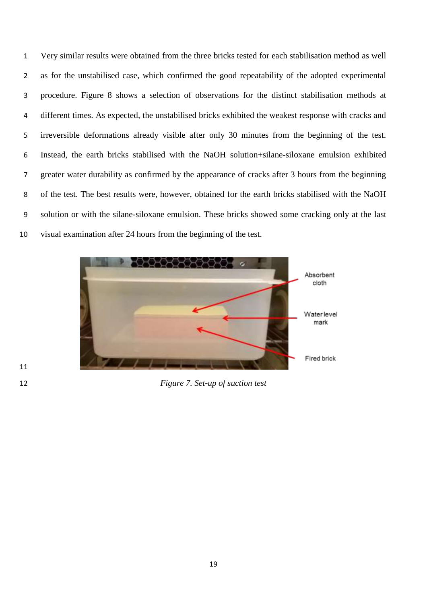Very similar results were obtained from the three bricks tested for each stabilisation method as well as for the unstabilised case, which confirmed the good repeatability of the adopted experimental procedure. Figure 8 shows a selection of observations for the distinct stabilisation methods at different times. As expected, the unstabilised bricks exhibited the weakest response with cracks and irreversible deformations already visible after only 30 minutes from the beginning of the test. Instead, the earth bricks stabilised with the NaOH solution+silane-siloxane emulsion exhibited greater water durability as confirmed by the appearance of cracks after 3 hours from the beginning of the test. The best results were, however, obtained for the earth bricks stabilised with the NaOH solution or with the silane-siloxane emulsion. These bricks showed some cracking only at the last visual examination after 24 hours from the beginning of the test.



*Figure 7. Set-up of suction test*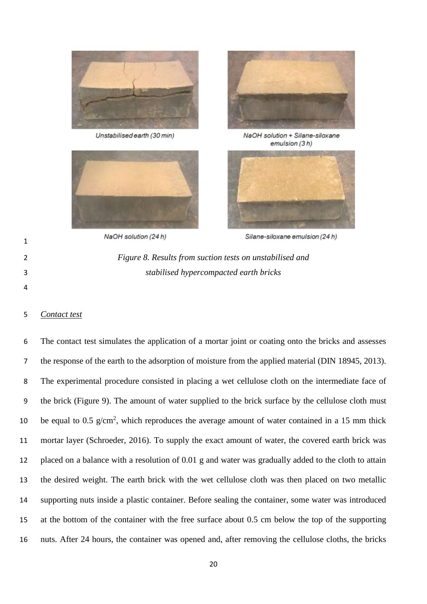

Unstabilised earth (30 min)







NaOH solution + Silane-siloxane emulsion (3h)



NaOH solution (24 h)

Silane-siloxane emulsion (24 h)



*Contact test*

 The contact test simulates the application of a mortar joint or coating onto the bricks and assesses the response of the earth to the adsorption of moisture from the applied material (DIN 18945, 2013). The experimental procedure consisted in placing a wet cellulose cloth on the intermediate face of the brick (Figure 9). The amount of water supplied to the brick surface by the cellulose cloth must 10 be equal to 0.5  $g/cm^2$ , which reproduces the average amount of water contained in a 15 mm thick mortar layer (Schroeder, 2016). To supply the exact amount of water, the covered earth brick was placed on a balance with a resolution of 0.01 g and water was gradually added to the cloth to attain the desired weight. The earth brick with the wet cellulose cloth was then placed on two metallic supporting nuts inside a plastic container. Before sealing the container, some water was introduced at the bottom of the container with the free surface about 0.5 cm below the top of the supporting nuts. After 24 hours, the container was opened and, after removing the cellulose cloths, the bricks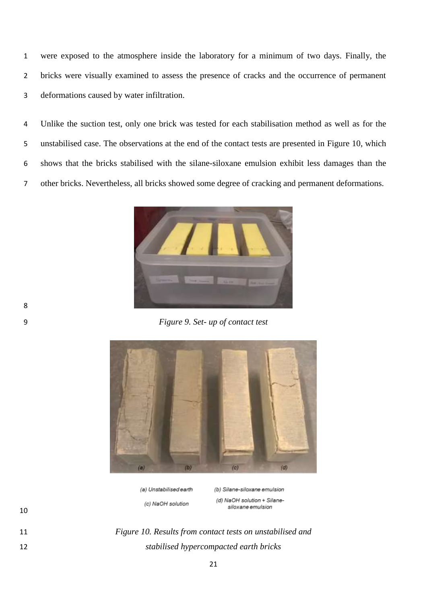were exposed to the atmosphere inside the laboratory for a minimum of two days. Finally, the bricks were visually examined to assess the presence of cracks and the occurrence of permanent deformations caused by water infiltration.

 Unlike the suction test, only one brick was tested for each stabilisation method as well as for the unstabilised case. The observations at the end of the contact tests are presented in Figure 10, which shows that the bricks stabilised with the silane-siloxane emulsion exhibit less damages than the other bricks. Nevertheless, all bricks showed some degree of cracking and permanent deformations.



*Figure 9. Set- up of contact test* 



(a) Unstabilised earth (c) NaOH solution

(b) Silane-siloxane emulsion (d) NaOH solution + Silanesiloxane emulsion

 *Figure 10. Results from contact tests on unstabilised and stabilised hypercompacted earth bricks*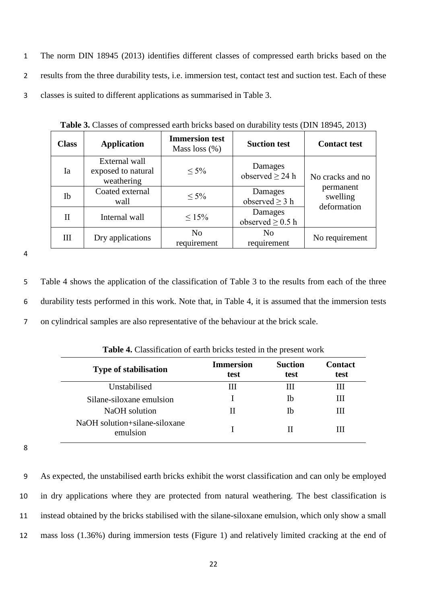1 The norm DIN 18945 (2013) identifies different classes of compressed earth bricks based on the 2 results from the three durability tests, i.e. immersion test, contact test and suction test. Each of these 3 classes is suited to different applications as summarised in Table 3.

| <b>Class</b> | <b>Application</b>                                | <b>Immersion test</b><br>Mass loss $(\%)$ | <b>Suction test</b>              | <b>Contact test</b>                  |
|--------------|---------------------------------------------------|-------------------------------------------|----------------------------------|--------------------------------------|
| Ia           | External wall<br>exposed to natural<br>weathering | $\leq 5\%$                                | Damages<br>observed $\geq$ 24 h  | No cracks and no                     |
| Ib           | Coated external<br>wall                           | $< 5\%$                                   | Damages<br>observed $\geq$ 3 h   | permanent<br>swelling<br>deformation |
| Н            | Internal wall                                     | $\leq 15\%$                               | Damages<br>observed $\geq$ 0.5 h |                                      |
| Ш            | Dry applications                                  | No<br>requirement                         | N <sub>0</sub><br>requirement    | No requirement                       |

**Table 3.** Classes of compressed earth bricks based on durability tests (DIN 18945, 2013)

4

5 Table 4 shows the application of the classification of Table 3 to the results from each of the three 6 durability tests performed in this work. Note that, in Table 4, it is assumed that the immersion tests 7 on cylindrical samples are also representative of the behaviour at the brick scale.

| <b>Type of stabilisation</b>              | <b>Immersion</b><br>test | <b>Suction</b><br>test | <b>Contact</b><br>test |
|-------------------------------------------|--------------------------|------------------------|------------------------|
| Unstabilised                              | Ш                        | Ш                      | Ш                      |
| Silane-siloxane emulsion                  |                          | Ib                     | Ш                      |
| NaOH solution                             | Н                        | Ib                     | Ш                      |
| NaOH solution+silane-siloxane<br>emulsion |                          |                        | ш                      |

**Table 4.** Classification of earth bricks tested in the present work

8

 As expected, the unstabilised earth bricks exhibit the worst classification and can only be employed in dry applications where they are protected from natural weathering. The best classification is instead obtained by the bricks stabilised with the silane-siloxane emulsion, which only show a small mass loss (1.36%) during immersion tests (Figure 1) and relatively limited cracking at the end of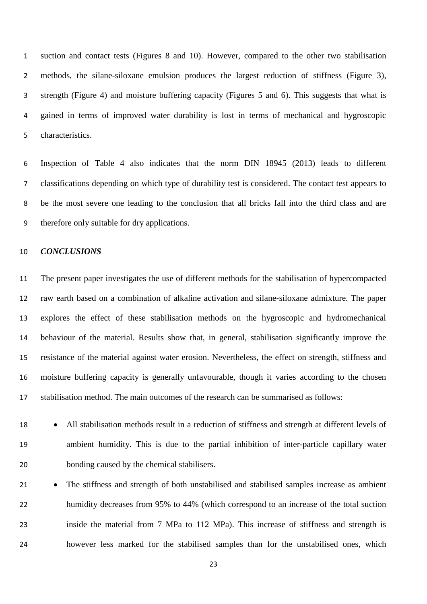suction and contact tests (Figures 8 and 10). However, compared to the other two stabilisation methods, the silane-siloxane emulsion produces the largest reduction of stiffness (Figure 3), strength (Figure 4) and moisture buffering capacity (Figures 5 and 6). This suggests that what is gained in terms of improved water durability is lost in terms of mechanical and hygroscopic characteristics.

 Inspection of Table 4 also indicates that the norm DIN 18945 (2013) leads to different classifications depending on which type of durability test is considered. The contact test appears to be the most severe one leading to the conclusion that all bricks fall into the third class and are therefore only suitable for dry applications.

#### *CONCLUSIONS*

 The present paper investigates the use of different methods for the stabilisation of hypercompacted raw earth based on a combination of alkaline activation and silane-siloxane admixture. The paper explores the effect of these stabilisation methods on the hygroscopic and hydromechanical behaviour of the material. Results show that, in general, stabilisation significantly improve the resistance of the material against water erosion. Nevertheless, the effect on strength, stiffness and moisture buffering capacity is generally unfavourable, though it varies according to the chosen stabilisation method. The main outcomes of the research can be summarised as follows:

18 • All stabilisation methods result in a reduction of stiffness and strength at different levels of ambient humidity. This is due to the partial inhibition of inter-particle capillary water bonding caused by the chemical stabilisers.

21 • The stiffness and strength of both unstabilised and stabilised samples increase as ambient humidity decreases from 95% to 44% (which correspond to an increase of the total suction inside the material from 7 MPa to 112 MPa). This increase of stiffness and strength is however less marked for the stabilised samples than for the unstabilised ones, which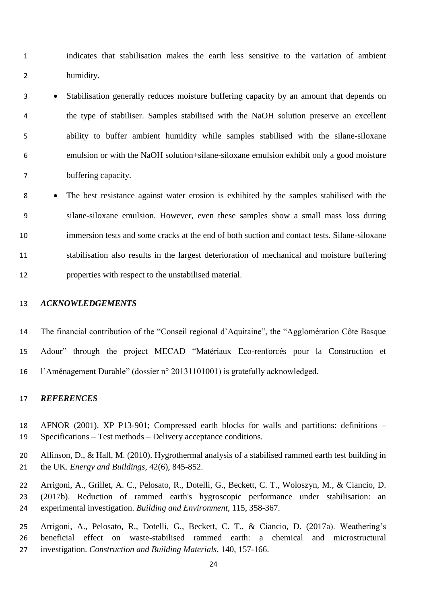indicates that stabilisation makes the earth less sensitive to the variation of ambient humidity.

 Stabilisation generally reduces moisture buffering capacity by an amount that depends on the type of stabiliser. Samples stabilised with the NaOH solution preserve an excellent ability to buffer ambient humidity while samples stabilised with the silane-siloxane emulsion or with the NaOH solution+silane-siloxane emulsion exhibit only a good moisture buffering capacity.

 The best resistance against water erosion is exhibited by the samples stabilised with the silane-siloxane emulsion. However, even these samples show a small mass loss during immersion tests and some cracks at the end of both suction and contact tests. Silane-siloxane stabilisation also results in the largest deterioration of mechanical and moisture buffering properties with respect to the unstabilised material.

## *ACKNOWLEDGEMENTS*

 The financial contribution of the "Conseil regional d'Aquitaine", the "Agglomération Côte Basque Adour" through the project MECAD "Matériaux Eco-renforcés pour la Construction et l'Aménagement Durable" (dossier n° 20131101001) is gratefully acknowledged.

#### *REFERENCES*

- AFNOR (2001). XP P13-901; Compressed earth blocks for walls and partitions: definitions Specifications – Test methods – Delivery acceptance conditions.
- Allinson, D., & Hall, M. (2010). Hygrothermal analysis of a stabilised rammed earth test building in the UK. *Energy and Buildings*, 42(6), 845-852.
- Arrigoni, A., Grillet, A. C., Pelosato, R., Dotelli, G., Beckett, C. T., Woloszyn, M., & Ciancio, D. (2017b). Reduction of rammed earth's hygroscopic performance under stabilisation: an experimental investigation. *Building and Environment*, 115, 358-367.
- Arrigoni, A., Pelosato, R., Dotelli, G., Beckett, C. T., & Ciancio, D. (2017a). Weathering's beneficial effect on waste-stabilised rammed earth: a chemical and microstructural investigation. *Construction and Building Materials*, 140, 157-166.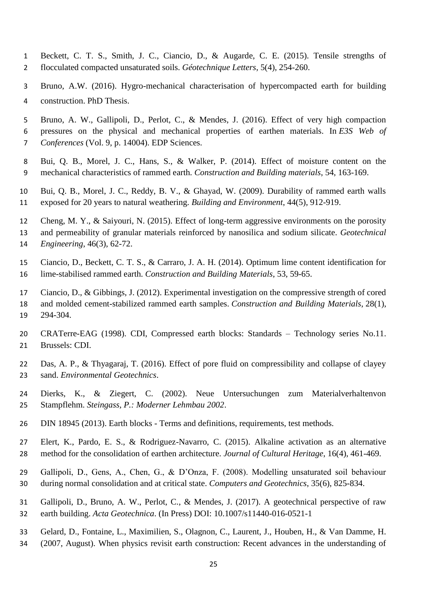- Beckett, C. T. S., Smith, J. C., Ciancio, D., & Augarde, C. E. (2015). Tensile strengths of flocculated compacted unsaturated soils. *Géotechnique Letters*, 5(4), 254-260.
- Bruno, A.W. (2016). Hygro-mechanical characterisation of hypercompacted earth for building construction. PhD Thesis.
- Bruno, A. W., Gallipoli, D., Perlot, C., & Mendes, J. (2016). Effect of very high compaction pressures on the physical and mechanical properties of earthen materials. In *E3S Web of Conferences* (Vol. 9, p. 14004). EDP Sciences.
- Bui, Q. B., Morel, J. C., Hans, S., & Walker, P. (2014). Effect of moisture content on the mechanical characteristics of rammed earth. *Construction and Building materials*, 54, 163-169.
- Bui, Q. B., Morel, J. C., Reddy, B. V., & Ghayad, W. (2009). Durability of rammed earth walls exposed for 20 years to natural weathering. *Building and Environment*, 44(5), 912-919.
- Cheng, M. Y., & Saiyouri, N. (2015). Effect of long-term aggressive environments on the porosity
- and permeability of granular materials reinforced by nanosilica and sodium silicate. *Geotechnical*
- *Engineering*, 46(3), 62-72.
- Ciancio, D., Beckett, C. T. S., & Carraro, J. A. H. (2014). Optimum lime content identification for lime-stabilised rammed earth. *Construction and Building Materials*, 53, 59-65.
- Ciancio, D., & Gibbings, J. (2012). Experimental investigation on the compressive strength of cored and molded cement-stabilized rammed earth samples. *Construction and Building Materials*, 28(1), 294-304.
- CRATerre-EAG (1998). CDI, Compressed earth blocks: Standards Technology series No.11. Brussels: CDI.
- Das, A. P., & Thyagaraj, T. (2016). Effect of pore fluid on compressibility and collapse of clayey sand. *Environmental Geotechnics*.
- Dierks, K., & Ziegert, C. (2002). Neue Untersuchungen zum Materialverhaltenvon Stampflehm. *Steingass, P.: Moderner Lehmbau 2002*.
- DIN 18945 (2013). Earth blocks Terms and definitions, requirements, test methods.
- Elert, K., Pardo, E. S., & Rodriguez-Navarro, C. (2015). Alkaline activation as an alternative method for the consolidation of earthen architecture. *Journal of Cultural Heritage*, 16(4), 461-469.
- Gallipoli, D., Gens, A., Chen, G., & D'Onza, F. (2008). Modelling unsaturated soil behaviour during normal consolidation and at critical state. *Computers and Geotechnics*, 35(6), 825-834.
- Gallipoli, D., Bruno, A. W., Perlot, C., & Mendes, J. (2017). A geotechnical perspective of raw earth building. *Acta Geotechnica*. (In Press) DOI: 10.1007/s11440-016-0521-1
- Gelard, D., Fontaine, L., Maximilien, S., Olagnon, C., Laurent, J., Houben, H., & Van Damme, H.
- (2007, August). When physics revisit earth construction: Recent advances in the understanding of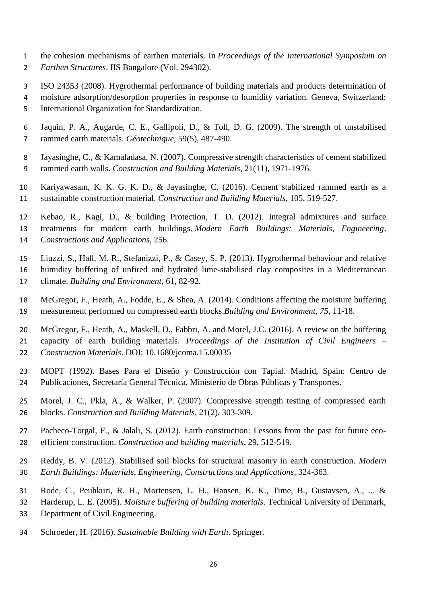- the cohesion mechanisms of earthen materials. In *Proceedings of the International Symposium on*
- *Earthen Structures*. IIS Bangalore (Vol. 294302).
- ISO 24353 (2008). Hygrothermal performance of building materials and products determination of
- moisture adsorption/desorption properties in response to humidity variation. Geneva, Switzerland:
- International Organization for Standardization.
- Jaquin, P. A., Augarde, C. E., Gallipoli, D., & Toll, D. G. (2009). The strength of unstabilised rammed earth materials. *Géotechnique*, 59(5), 487-490.
- Jayasinghe, C., & Kamaladasa, N. (2007). Compressive strength characteristics of cement stabilized rammed earth walls. *Construction and Building Materials*, 21(11), 1971-1976.
- Kariyawasam, K. K. G. K. D., & Jayasinghe, C. (2016). Cement stabilized rammed earth as a sustainable construction material. *Construction and Building Materials*, 105, 519-527.
- Kebao, R., Kagi, D., & building Protection, T. D. (2012). Integral admixtures and surface treatments for modern earth buildings. *Modern Earth Buildings: Materials, Engineering, Constructions and Applications*, 256.
- Liuzzi, S., Hall, M. R., Stefanizzi, P., & Casey, S. P. (2013). Hygrothermal behaviour and relative humidity buffering of unfired and hydrated lime-stabilised clay composites in a Mediterranean
- climate. *Building and Environment*, 61, 82-92.
- McGregor, F., Heath, A., Fodde, E., & Shea, A. (2014). Conditions affecting the moisture buffering measurement performed on compressed earth blocks.*Building and Environment*, *75*, 11-18.
- McGregor, F., Heath, A., Maskell, D., Fabbri, A. and Morel, J.C. (2016). A review on the buffering capacity of earth building materials. *Proceedings of the Institution of Civil Engineers – Construction Materials*. DOI: 10.1680/jcoma.15.00035
- MOPT (1992). Bases Para el Diseño y Construcción con Tapial. Madrid, Spain: Centro de Publicaciones, Secretaría General Técnica, Ministerio de Obras Públicas y Transportes.
- Morel, J. C., Pkla, A., & Walker, P. (2007). Compressive strength testing of compressed earth blocks. *Construction and Building Materials*, 21(2), 303-309.
- Pacheco-Torgal, F., & Jalali, S. (2012). Earth construction: Lessons from the past for future eco-efficient construction. *Construction and building materials*, 29, 512-519.
- Reddy, B. V. (2012). Stabilised soil blocks for structural masonry in earth construction. *Modern Earth Buildings: Materials, Engineering, Constructions and Applications*, 324-363.
- Rode, C., Peuhkuri, R. H., Mortensen, L. H., Hansen, K. K., Time, B., Gustavsen, A., ... &
- Harderup, L. E. (2005). *Moisture buffering of building materials*. Technical University of Denmark,
- Department of Civil Engineering.
- Schroeder, H. (2016). *Sustainable Building with Earth*. Springer.